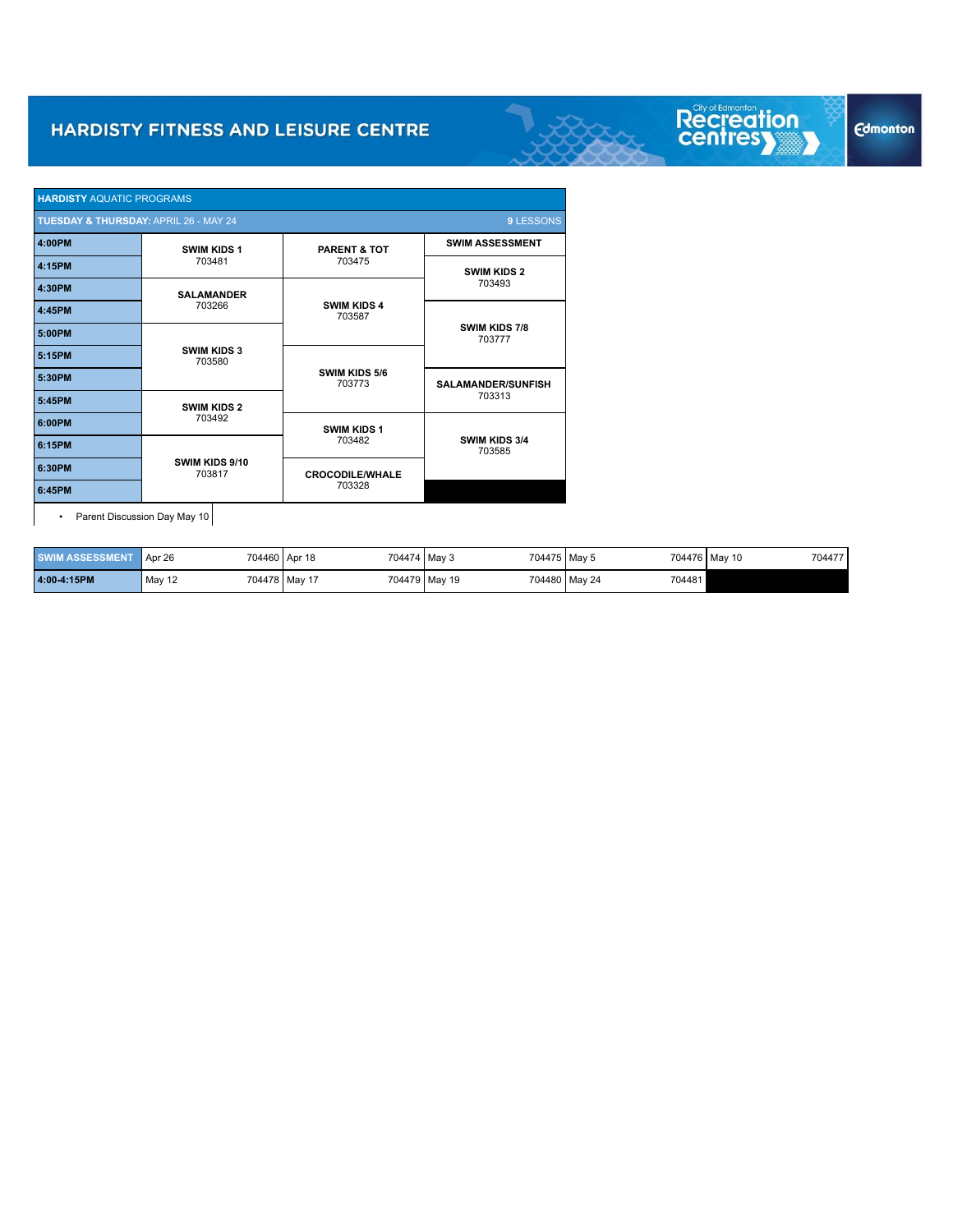| <b>HARDISTY AQUATIC PROGRAMS</b>      |                              |                              |                                |  |  |
|---------------------------------------|------------------------------|------------------------------|--------------------------------|--|--|
| TUESDAY & THURSDAY: APRIL 26 - MAY 24 |                              |                              | 9 LESSONS                      |  |  |
| 4:00PM                                | <b>SWIM KIDS 1</b>           | <b>PARENT &amp; TOT</b>      | <b>SWIM ASSESSMENT</b>         |  |  |
| 4:15PM                                | 703481                       | 703475                       | <b>SWIM KIDS 2</b>             |  |  |
| 4:30PM                                | <b>SALAMANDER</b>            |                              | 703493                         |  |  |
| 4:45PM                                | 703266                       | <b>SWIM KIDS 4</b><br>703587 |                                |  |  |
| 5:00PM                                |                              |                              | SWIM KIDS 7/8<br>703777        |  |  |
| 5:15PM                                | <b>SWIM KIDS 3</b><br>703580 |                              |                                |  |  |
| 5:30PM                                |                              | SWIM KIDS 5/6<br>703773      | <b>SALAMANDER/SUNFISH</b>      |  |  |
| 5:45PM                                | <b>SWIM KIDS 2</b>           |                              | 703313                         |  |  |
| 6:00PM                                | 703492                       | <b>SWIM KIDS 1</b>           |                                |  |  |
| 6:15PM                                |                              | 703482                       | <b>SWIM KIDS 3/4</b><br>703585 |  |  |
| 6:30PM                                | SWIM KIDS 9/10<br>703817     | <b>CROCODILE/WHALE</b>       |                                |  |  |
| 6:45PM                                |                              | 703328                       |                                |  |  |

• Parent Discussion Day May 10

| <b>SWIM ASSESSMENT</b> | Apr 26 | 704474 May 3<br>704460 Apr 18 | 704475 May 5  |                         | 704477<br>704476 May 10 |
|------------------------|--------|-------------------------------|---------------|-------------------------|-------------------------|
| 4:00-4:15PM            | May 12 | 704478 May 17                 | 704479 May 19 | 704481<br>704480 May 24 |                         |

Recreation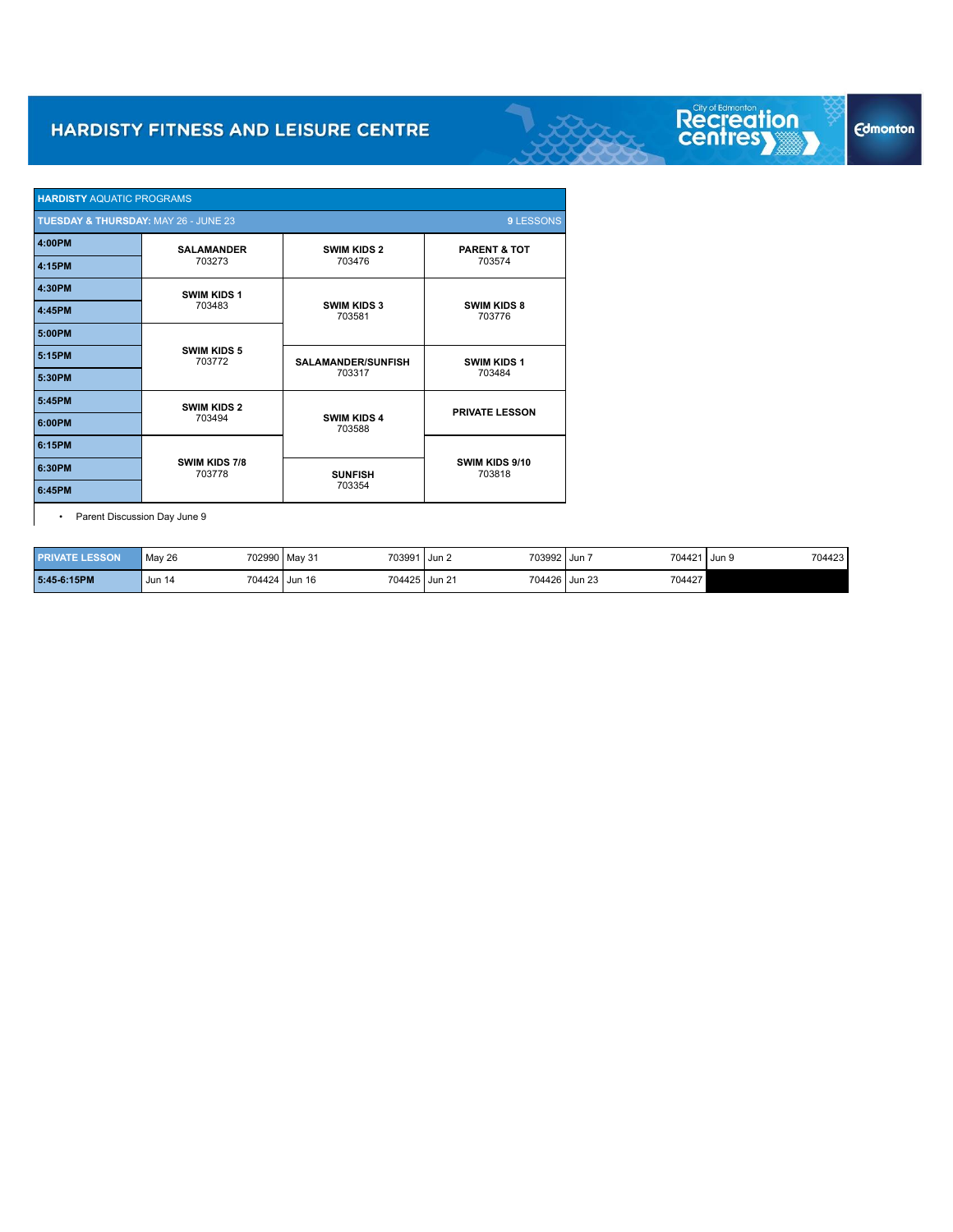| <b>HARDISTY AQUATIC PROGRAMS</b>     |                              |                              |                              |  |
|--------------------------------------|------------------------------|------------------------------|------------------------------|--|
| TUESDAY & THURSDAY: MAY 26 - JUNE 23 |                              |                              | 9 LESSONS                    |  |
| 4:00PM                               | <b>SALAMANDER</b>            | <b>SWIM KIDS 2</b>           | <b>PARENT &amp; TOT</b>      |  |
| 4:15PM                               | 703273                       | 703476                       | 703574                       |  |
| 4:30PM                               | <b>SWIM KIDS 1</b>           |                              |                              |  |
| 4:45PM                               | 703483                       | <b>SWIM KIDS 3</b><br>703581 | <b>SWIM KIDS 8</b><br>703776 |  |
| 5:00PM                               |                              |                              |                              |  |
| 5:15PM                               | <b>SWIM KIDS 5</b><br>703772 | <b>SALAMANDER/SUNFISH</b>    | <b>SWIM KIDS 1</b>           |  |
| 5:30PM                               |                              | 703317                       | 703484                       |  |
| 5:45PM                               | <b>SWIM KIDS 2</b>           |                              | <b>PRIVATE LESSON</b>        |  |
| 6:00PM                               | 703494                       | <b>SWIM KIDS 4</b><br>703588 |                              |  |
| 6:15PM                               |                              |                              |                              |  |
| 6:30PM                               | SWIM KIDS 7/8<br>703778      | <b>SUNFISH</b>               | SWIM KIDS 9/10<br>703818     |  |
| 6:45PM                               |                              | 703354                       |                              |  |

• Parent Discussion Day June 9

| <b>PRIVATE LESSON</b> | May 26        | 703991<br>702990 May 31 | 703992 Jun<br>l I Jun 2 | 704421 Jun 9            | 704423 |
|-----------------------|---------------|-------------------------|-------------------------|-------------------------|--------|
| 5:45-6:15PM           | <b>Jun 14</b> | 704424 Jun 16           | 704425 Jun 21           | 704427<br>704426 Jun 23 |        |

# **Edmonton**

Recreation<br>centres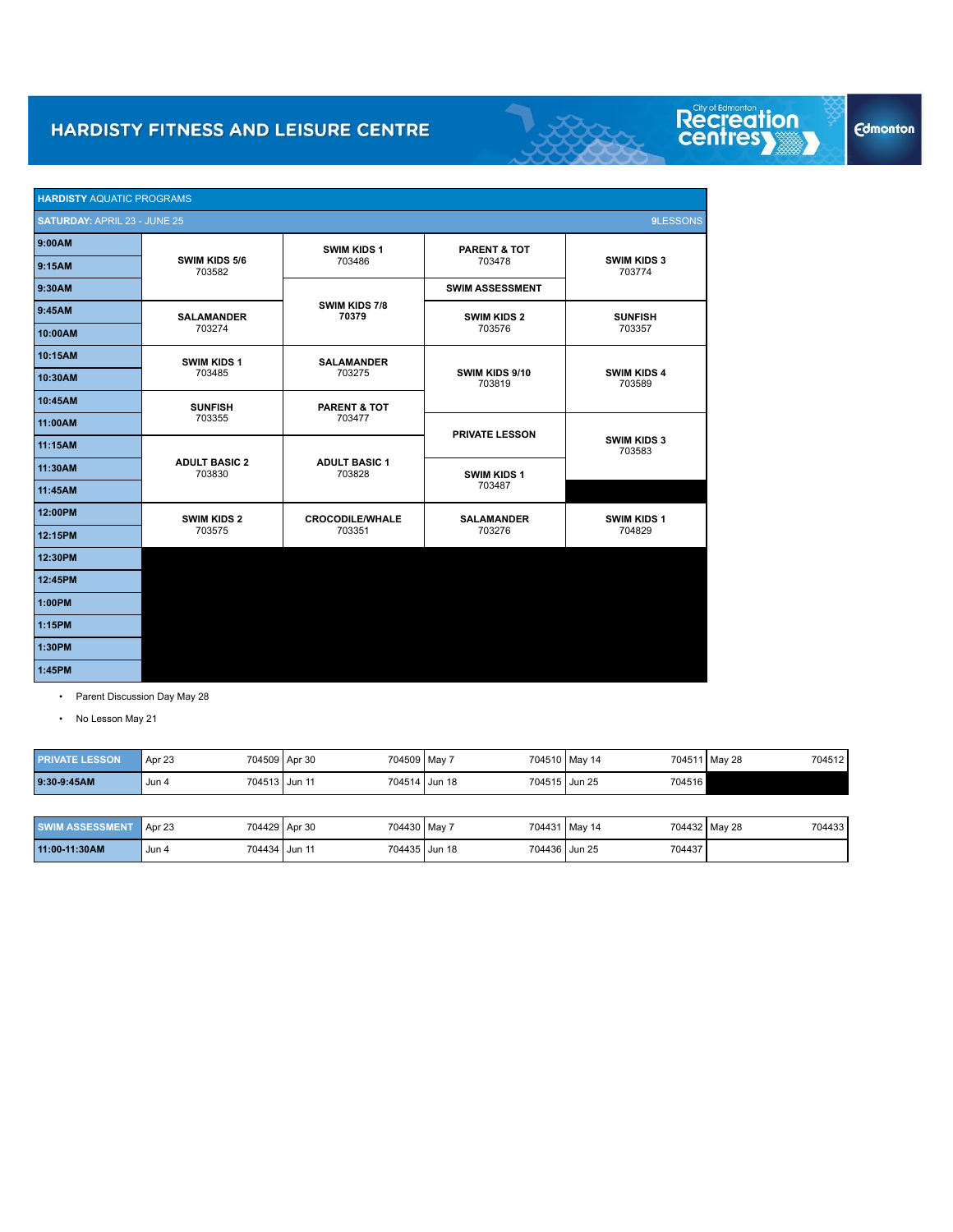| <b>HARDISTY AQUATIC PROGRAMS</b>    |                                |                                |                          |                              |  |  |  |
|-------------------------------------|--------------------------------|--------------------------------|--------------------------|------------------------------|--|--|--|
| <b>SATURDAY: APRIL 23 - JUNE 25</b> |                                |                                |                          | 9LESSONS                     |  |  |  |
| 9:00AM                              |                                | <b>SWIM KIDS 1</b>             | <b>PARENT &amp; TOT</b>  |                              |  |  |  |
| 9:15AM                              | SWIM KIDS 5/6<br>703582        | 703486                         | 703478                   | <b>SWIM KIDS 3</b><br>703774 |  |  |  |
| 9:30AM                              |                                |                                | <b>SWIM ASSESSMENT</b>   |                              |  |  |  |
| 9:45AM                              | <b>SALAMANDER</b>              | SWIM KIDS 7/8<br>70379         | <b>SWIM KIDS 2</b>       | <b>SUNFISH</b>               |  |  |  |
| 10:00AM                             | 703274                         |                                | 703576                   | 703357                       |  |  |  |
| 10:15AM                             | <b>SWIM KIDS 1</b>             | <b>SALAMANDER</b>              |                          |                              |  |  |  |
| 10:30AM                             | 703485                         | 703275                         | SWIM KIDS 9/10<br>703819 | <b>SWIM KIDS 4</b><br>703589 |  |  |  |
| 10:45AM                             | <b>SUNFISH</b>                 | <b>PARENT &amp; TOT</b>        |                          |                              |  |  |  |
| 11:00AM                             | 703355                         | 703477                         | <b>PRIVATE LESSON</b>    |                              |  |  |  |
| 11:15AM                             |                                |                                |                          | <b>SWIM KIDS 3</b><br>703583 |  |  |  |
| 11:30AM                             | <b>ADULT BASIC 2</b><br>703830 | <b>ADULT BASIC 1</b><br>703828 | <b>SWIM KIDS 1</b>       |                              |  |  |  |
| 11:45AM                             |                                |                                | 703487                   |                              |  |  |  |
| 12:00PM                             | <b>SWIM KIDS 2</b>             | <b>CROCODILE/WHALE</b>         | <b>SALAMANDER</b>        | <b>SWIM KIDS 1</b>           |  |  |  |
| 12:15PM                             | 703575                         | 703351                         | 703276                   | 704829                       |  |  |  |
| 12:30PM                             |                                |                                |                          |                              |  |  |  |
| 12:45PM                             |                                |                                |                          |                              |  |  |  |
| 1:00PM                              |                                |                                |                          |                              |  |  |  |
| 1:15PM                              |                                |                                |                          |                              |  |  |  |
| 1:30PM                              |                                |                                |                          |                              |  |  |  |
| 1:45PM                              |                                |                                |                          |                              |  |  |  |

- Parent Discussion Day May 28
- No Lesson May 21

| <b>PRIVATE LESSON</b> | Apr 23<br>704509 Apr 30 | 704509 May 7 |                                | 704510 May 14 | 704511 May 28 | 704512 |
|-----------------------|-------------------------|--------------|--------------------------------|---------------|---------------|--------|
| 9:30-9:45AM           | 704513 Jun 11<br>Jun 4  |              | 704514 Jun 18<br>704515 Jun 25 |               | 704516        |        |
|                       |                         |              |                                |               |               |        |

| <b>SWIM ASSESSMENT</b> | 704429 Apr 30<br>Apr 23 | 704430 May 7  | 704431 May 14           | 704432 May 28<br>704433 |
|------------------------|-------------------------|---------------|-------------------------|-------------------------|
| 11:00-11:30AM          | 704434 Jun 11<br>Jun 4  | 704435 Jun 18 | 704437<br>704436 Jun 25 |                         |

Recreation<br>centresy